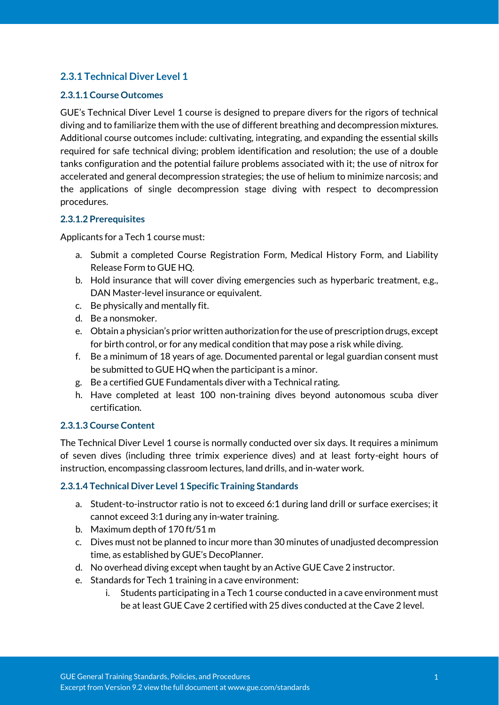# **2.3.1 Technical Diver Level 1**

### **2.3.1.1 Course Outcomes**

GUE's Technical Diver Level 1 course is designed to prepare divers for the rigors of technical diving and to familiarize them with the use of different breathing and decompression mixtures. Additional course outcomes include: cultivating, integrating, and expanding the essential skills required for safe technical diving; problem identification and resolution; the use of a double tanks configuration and the potential failure problems associated with it; the use of nitrox for accelerated and general decompression strategies; the use of helium to minimize narcosis; and the applications of single decompression stage diving with respect to decompression procedures.

### **2.3.1.2 Prerequisites**

Applicants for a Tech 1 course must:

- a. Submit a completed Course Registration Form, Medical History Form, and Liability Release Form to GUE HQ.
- b. Hold insurance that will cover diving emergencies such as hyperbaric treatment, e.g., DAN Master-level insurance or equivalent.
- c. Be physically and mentally fit.
- d. Be a nonsmoker.
- e. Obtain a physician's prior written authorization for the use of prescription drugs, except for birth control, or for any medical condition that may pose a risk while diving.
- f. Be a minimum of 18 years of age. Documented parental or legal guardian consent must be submitted to GUE HQ when the participant is a minor.
- g. Be a certified GUE Fundamentals diver with a Technical rating.
- h. Have completed at least 100 non-training dives beyond autonomous scuba diver certification.

#### **2.3.1.3 Course Content**

The Technical Diver Level 1 course is normally conducted over six days. It requires a minimum of seven dives (including three trimix experience dives) and at least forty-eight hours of instruction, encompassing classroom lectures, land drills, and in-water work.

#### **2.3.1.4 Technical Diver Level 1 Specific Training Standards**

- a. Student-to-instructor ratio is not to exceed 6:1 during land drill or surface exercises; it cannot exceed 3:1 during any in-water training.
- b. Maximum depth of 170 ft/51 m
- c. Dives must not be planned to incur more than 30 minutes of unadjusted decompression time, as established by GUE's DecoPlanner.
- d. No overhead diving except when taught by an Active GUE Cave 2 instructor.
- e. Standards for Tech 1 training in a cave environment:
	- i. Students participating in a Tech 1 course conducted in a cave environment must be at least GUE Cave 2 certified with 25 dives conducted at the Cave 2 level.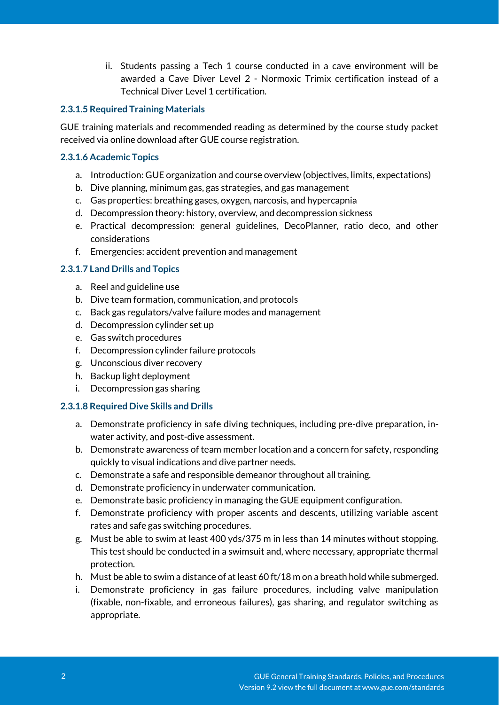ii. Students passing a Tech 1 course conducted in a cave environment will be awarded a Cave Diver Level 2 - Normoxic Trimix certification instead of a Technical Diver Level 1 certification.

### **2.3.1.5 Required Training Materials**

GUE training materials and recommended reading as determined by the course study packet received via online download after GUE course registration.

### **2.3.1.6 Academic Topics**

- a. Introduction: GUE organization and course overview (objectives, limits, expectations)
- b. Dive planning, minimum gas, gas strategies, and gas management
- c. Gas properties: breathing gases, oxygen, narcosis, and hypercapnia
- d. Decompression theory: history, overview, and decompression sickness
- e. Practical decompression: general guidelines, DecoPlanner, ratio deco, and other considerations
- f. Emergencies: accident prevention and management

# **2.3.1.7 Land Drills and Topics**

- a. Reel and guideline use
- b. Dive team formation, communication, and protocols
- c. Back gas regulators/valve failure modes and management
- d. Decompression cylinder set up
- e. Gas switch procedures
- f. Decompression cylinder failure protocols
- g. Unconscious diver recovery
- h. Backup light deployment
- i. Decompression gas sharing

#### **2.3.1.8 Required Dive Skills and Drills**

- a. Demonstrate proficiency in safe diving techniques, including pre-dive preparation, inwater activity, and post-dive assessment.
- b. Demonstrate awareness of team member location and a concern for safety, responding quickly to visual indications and dive partner needs.
- c. Demonstrate a safe and responsible demeanor throughout all training.
- d. Demonstrate proficiency in underwater communication.
- e. Demonstrate basic proficiency in managing the GUE equipment configuration.
- f. Demonstrate proficiency with proper ascents and descents, utilizing variable ascent rates and safe gas switching procedures.
- g. Must be able to swim at least 400 yds/375 m in less than 14 minutes without stopping. This test should be conducted in a swimsuit and, where necessary, appropriate thermal protection.
- h. Must be able to swim a distance of at least 60 ft/18 m on a breath hold while submerged.
- i. Demonstrate proficiency in gas failure procedures, including valve manipulation (fixable, non-fixable, and erroneous failures), gas sharing, and regulator switching as appropriate.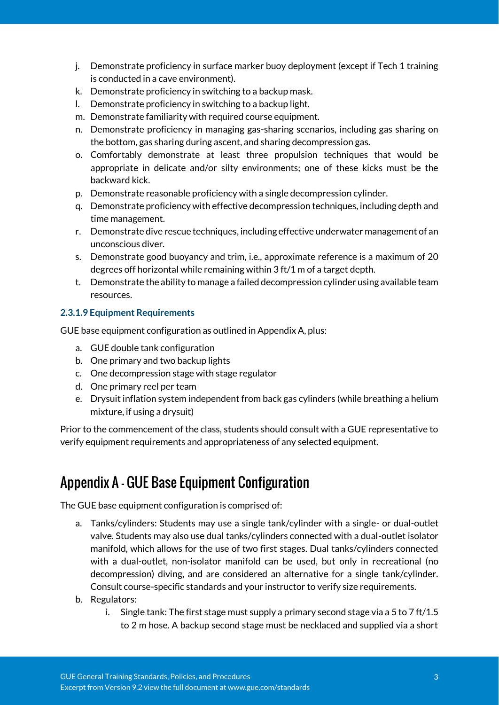- j. Demonstrate proficiency in surface marker buoy deployment (except if Tech 1 training is conducted in a cave environment).
- k. Demonstrate proficiency in switching to a backup mask.
- l. Demonstrate proficiency in switching to a backup light.
- m. Demonstrate familiarity with required course equipment.
- n. Demonstrate proficiency in managing gas-sharing scenarios, including gas sharing on the bottom, gas sharing during ascent, and sharing decompression gas.
- o. Comfortably demonstrate at least three propulsion techniques that would be appropriate in delicate and/or silty environments; one of these kicks must be the backward kick.
- p. Demonstrate reasonable proficiency with a single decompression cylinder.
- q. Demonstrate proficiency with effective decompression techniques, including depth and time management.
- r. Demonstrate dive rescue techniques, including effective underwater management of an unconscious diver.
- s. Demonstrate good buoyancy and trim, i.e., approximate reference is a maximum of 20 degrees off horizontal while remaining within 3 ft/1 m of a target depth.
- t. Demonstrate the ability to manage a failed decompression cylinder using available team resources.

### **2.3.1.9 Equipment Requirements**

GUE base equipment configuration as outlined in Appendix A, plus:

- a. GUE double tank configuration
- b. One primary and two backup lights
- c. One decompression stage with stage regulator
- d. One primary reel per team
- e. Drysuit inflation system independent from back gas cylinders (while breathing a helium mixture, if using a drysuit)

Prior to the commencement of the class, students should consult with a GUE representative to verify equipment requirements and appropriateness of any selected equipment.

# Appendix A - GUE Base Equipment Configuration

The GUE base equipment configuration is comprised of:

- a. Tanks/cylinders: Students may use a single tank/cylinder with a single- or dual-outlet valve. Students may also use dual tanks/cylinders connected with a dual-outlet isolator manifold, which allows for the use of two first stages. Dual tanks/cylinders connected with a dual-outlet, non-isolator manifold can be used, but only in recreational (no decompression) diving, and are considered an alternative for a single tank/cylinder. Consult course-specific standards and your instructor to verify size requirements.
- b. Regulators:
	- i. Single tank: The first stage must supply a primary second stage via a 5 to 7 ft/1.5 to 2 m hose. A backup second stage must be necklaced and supplied via a short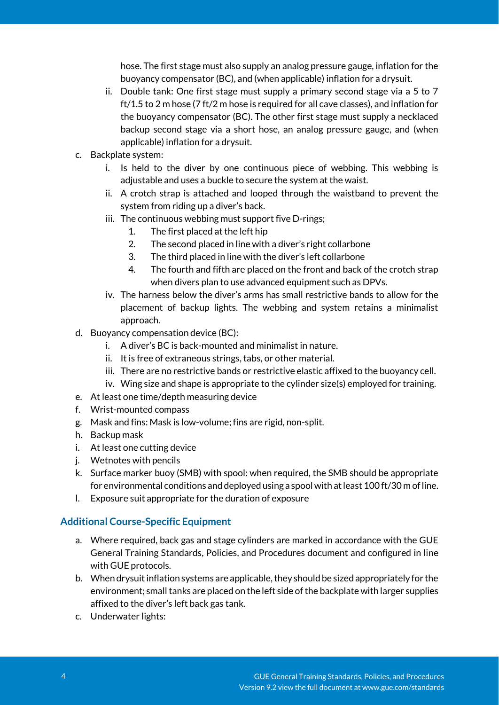hose. The first stage must also supply an analog pressure gauge, inflation for the buoyancy compensator (BC), and (when applicable) inflation for a drysuit.

- ii. Double tank: One first stage must supply a primary second stage via a 5 to 7 ft/1.5 to 2 m hose (7 ft/2 m hose is required for all cave classes), and inflation for the buoyancy compensator (BC). The other first stage must supply a necklaced backup second stage via a short hose, an analog pressure gauge, and (when applicable) inflation for a drysuit.
- c. Backplate system:
	- i. Is held to the diver by one continuous piece of webbing. This webbing is adjustable and uses a buckle to secure the system at the waist.
	- ii. A crotch strap is attached and looped through the waistband to prevent the system from riding up a diver's back.
	- iii. The continuous webbing must support five D-rings;
		- 1. The first placed at the left hip
		- 2. The second placed in line with a diver's right collarbone
		- 3. The third placed in line with the diver's left collarbone
		- 4. The fourth and fifth are placed on the front and back of the crotch strap when divers plan to use advanced equipment such as DPVs.
	- iv. The harness below the diver's arms has small restrictive bands to allow for the placement of backup lights. The webbing and system retains a minimalist approach.
- d. Buoyancy compensation device (BC):
	- i. A diver's BC is back-mounted and minimalist in nature.
	- ii. It is free of extraneous strings, tabs, or other material.
	- iii. There are no restrictive bands or restrictive elastic affixed to the buoyancy cell.
	- iv. Wing size and shape is appropriate to the cylinder size(s) employed for training.
- e. At least one time/depth measuring device
- f. Wrist-mounted compass
- g. Mask and fins: Mask is low-volume; fins are rigid, non-split.
- h. Backup mask
- i. At least one cutting device
- j. Wetnotes with pencils
- k. Surface marker buoy (SMB) with spool: when required, the SMB should be appropriate for environmental conditions and deployed using a spool with at least 100 ft/30 m of line.
- l. Exposure suit appropriate for the duration of exposure

# **Additional Course-Specific Equipment**

- a. Where required, back gas and stage cylinders are marked in accordance with the GUE General Training Standards, Policies, and Procedures document and configured in line with GUE protocols.
- b. When drysuit inflation systems are applicable, they should be sized appropriately for the environment; small tanks are placed on the left side of the backplate with larger supplies affixed to the diver's left back gas tank.
- c. Underwater lights: